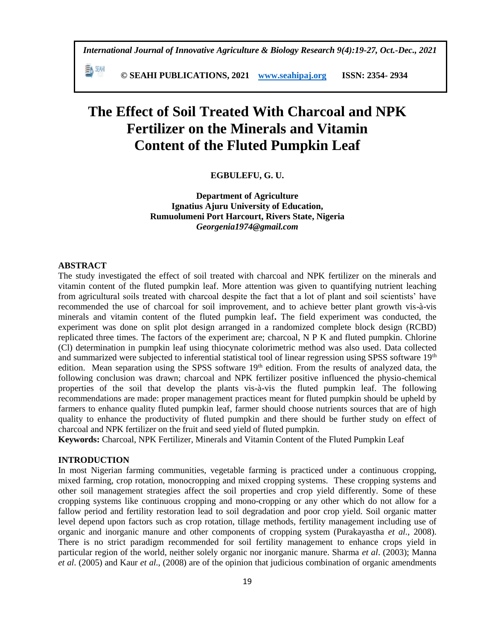*International Journal of Innovative Agriculture & Biology Research 9(4):19-27, Oct.-Dec., 2021*

瓢 洲  **© SEAHI PUBLICATIONS, 2021 [www.seahipaj.org](http://www.seahipaj.org/) ISSN: 2354- 2934**

# **The Effect of Soil Treated With Charcoal and NPK Fertilizer on the Minerals and Vitamin Content of the Fluted Pumpkin Leaf**

**EGBULEFU, G. U.** 

**Department of Agriculture Ignatius Ajuru University of Education, Rumuolumeni Port Harcourt, Rivers State, Nigeria** *Georgenia1974@gmail.com*

#### **ABSTRACT**

The study investigated the effect of soil treated with charcoal and NPK fertilizer on the minerals and vitamin content of the fluted pumpkin leaf. More attention was given to quantifying nutrient leaching from agricultural soils treated with charcoal despite the fact that a lot of plant and soil scientists' have recommended the use of charcoal for soil improvement, and to achieve better plant growth vis-à-vis minerals and vitamin content of the fluted pumpkin leaf**.** The field experiment was conducted, the experiment was done on split plot design arranged in a randomized complete block design (RCBD) replicated three times. The factors of the experiment are; charcoal, N P K and fluted pumpkin. Chlorine (Cl) determination in pumpkin leaf using thiocynate colorimetric method was also used. Data collected and summarized were subjected to inferential statistical tool of linear regression using SPSS software 19<sup>th</sup> edition. Mean separation using the SPSS software 19<sup>th</sup> edition. From the results of analyzed data, the following conclusion was drawn; charcoal and NPK fertilizer positive influenced the physio-chemical properties of the soil that develop the plants vis-à-vis the fluted pumpkin leaf. The following recommendations are made: proper management practices meant for fluted pumpkin should be upheld by farmers to enhance quality fluted pumpkin leaf, farmer should choose nutrients sources that are of high quality to enhance the productivity of fluted pumpkin and there should be further study on effect of charcoal and NPK fertilizer on the fruit and seed yield of fluted pumpkin.

**Keywords:** Charcoal, NPK Fertilizer, Minerals and Vitamin Content of the Fluted Pumpkin Leaf

## **INTRODUCTION**

In most Nigerian farming communities, vegetable farming is practiced under a continuous cropping, mixed farming, crop rotation, monocropping and mixed cropping systems. These cropping systems and other soil management strategies affect the soil properties and crop yield differently. Some of these cropping systems like continuous cropping and mono-cropping or any other which do not allow for a fallow period and fertility restoration lead to soil degradation and poor crop yield. Soil organic matter level depend upon factors such as crop rotation, tillage methods, fertility management including use of organic and inorganic manure and other components of cropping system (Purakayastha *et al.,* 2008). There is no strict paradigm recommended for soil fertility management to enhance crops yield in particular region of the world, neither solely organic nor inorganic manure. Sharma *et al*. (2003); Manna *et al*. (2005) and Kaur *et al*., (2008) are of the opinion that judicious combination of organic amendments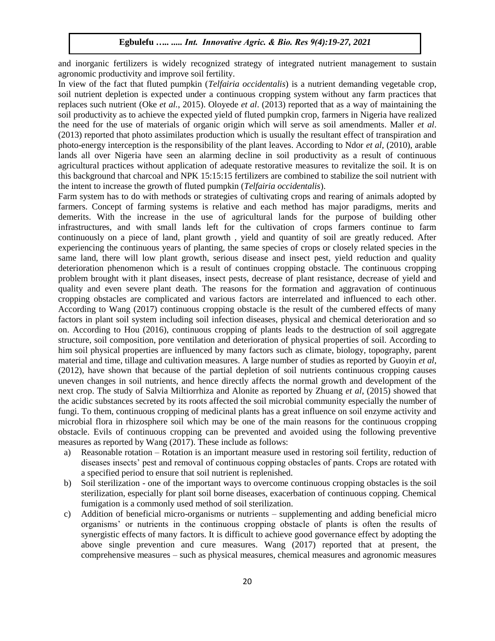and inorganic fertilizers is widely recognized strategy of integrated nutrient management to sustain agronomic productivity and improve soil fertility.

In view of the fact that fluted pumpkin (*Telfairia occidentalis*) is a nutrient demanding vegetable crop, soil nutrient depletion is expected under a continuous cropping system without any farm practices that replaces such nutrient (Oke *et al.*, 2015). Oloyede *et al*. (2013) reported that as a way of maintaining the soil productivity as to achieve the expected yield of fluted pumpkin crop, farmers in Nigeria have realized the need for the use of materials of organic origin which will serve as soil amendments. Maller *et al*. (2013) reported that photo assimilates production which is usually the resultant effect of transpiration and photo-energy interception is the responsibility of the plant leaves. According to Ndor *et al*, (2010), arable lands all over Nigeria have seen an alarming decline in soil productivity as a result of continuous agricultural practices without application of adequate restorative measures to revitalize the soil. It is on this background that charcoal and NPK 15:15:15 fertilizers are combined to stabilize the soil nutrient with the intent to increase the growth of fluted pumpkin (*Telfairia occidentalis*).

Farm system has to do with methods or strategies of cultivating crops and rearing of animals adopted by farmers. Concept of farming systems is relative and each method has major paradigms, merits and demerits. With the increase in the use of agricultural lands for the purpose of building other infrastructures, and with small lands left for the cultivation of crops farmers continue to farm continuously on a piece of land, plant growth , yield and quantity of soil are greatly reduced. After experiencing the continuous years of planting, the same species of crops or closely related species in the same land, there will low plant growth, serious disease and insect pest, yield reduction and quality deterioration phenomenon which is a result of continues cropping obstacle. The continuous cropping problem brought with it plant diseases, insect pests, decrease of plant resistance, decrease of yield and quality and even severe plant death. The reasons for the formation and aggravation of continuous cropping obstacles are complicated and various factors are interrelated and influenced to each other. According to Wang (2017) continuous cropping obstacle is the result of the cumbered effects of many factors in plant soil system including soil infection diseases, physical and chemical deterioration and so on. According to Hou (2016), continuous cropping of plants leads to the destruction of soil aggregate structure, soil composition, pore ventilation and deterioration of physical properties of soil. According to him soil physical properties are influenced by many factors such as climate, biology, topography, parent material and time, tillage and cultivation measures. A large number of studies as reported by Guoyin *et al*, (2012), have shown that because of the partial depletion of soil nutrients continuous cropping causes uneven changes in soil nutrients, and hence directly affects the normal growth and development of the next crop. The study of Salvia Miltiorrhiza and Alonite as reported by Zhuang *et al*, (2015) showed that the acidic substances secreted by its roots affected the soil microbial community especially the number of fungi. To them, continuous cropping of medicinal plants has a great influence on soil enzyme activity and microbial flora in rhizosphere soil which may be one of the main reasons for the continuous cropping obstacle. Evils of continuous cropping can be prevented and avoided using the following preventive measures as reported by Wang (2017). These include as follows:

- a) Reasonable rotation Rotation is an important measure used in restoring soil fertility, reduction of diseases insects' pest and removal of continuous copping obstacles of pants. Crops are rotated with a specified period to ensure that soil nutrient is replenished.
- b) Soil sterilization one of the important ways to overcome continuous cropping obstacles is the soil sterilization, especially for plant soil borne diseases, exacerbation of continuous copping. Chemical fumigation is a commonly used method of soil sterilization.
- c) Addition of beneficial micro-organisms or nutrients supplementing and adding beneficial micro organisms' or nutrients in the continuous cropping obstacle of plants is often the results of synergistic effects of many factors. It is difficult to achieve good governance effect by adopting the above single prevention and cure measures. Wang (2017) reported that at present, the comprehensive measures – such as physical measures, chemical measures and agronomic measures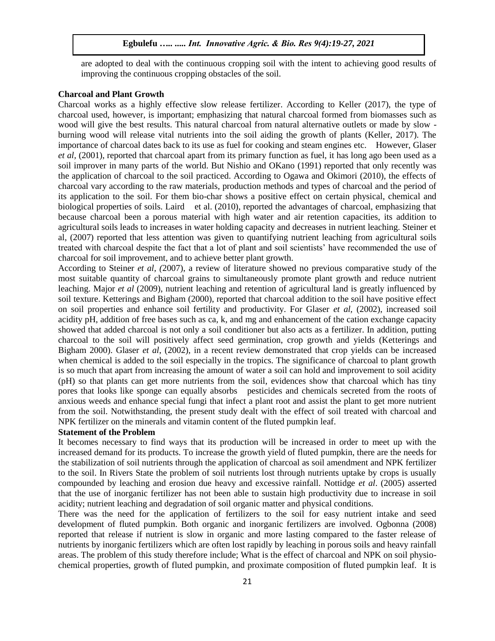are adopted to deal with the continuous cropping soil with the intent to achieving good results of improving the continuous cropping obstacles of the soil.

#### **Charcoal and Plant Growth**

Charcoal works as a highly effective slow release fertilizer. According to Keller (2017), the type of charcoal used, however, is important; emphasizing that natural charcoal formed from biomasses such as wood will give the best results. This natural charcoal from natural alternative outlets or made by slow burning wood will release vital nutrients into the soil aiding the growth of plants (Keller, 2017). The importance of charcoal dates back to its use as fuel for cooking and steam engines etc. However, Glaser *et al,* (2001), reported that charcoal apart from its primary function as fuel, it has long ago been used as a soil improver in many parts of the world. But Nishio and OKano (1991) reported that only recently was the application of charcoal to the soil practiced. According to Ogawa and Okimori (2010), the effects of charcoal vary according to the raw materials, production methods and types of charcoal and the period of its application to the soil. For them bio-char shows a positive effect on certain physical, chemical and biological properties of soils. Laird et al. (2010), reported the advantages of charcoal, emphasizing that because charcoal been a porous material with high water and air retention capacities, its addition to agricultural soils leads to increases in water holding capacity and decreases in nutrient leaching. Steiner et al, (2007) reported that less attention was given to quantifying nutrient leaching from agricultural soils treated with charcoal despite the fact that a lot of plant and soil scientists' have recommended the use of charcoal for soil improvement, and to achieve better plant growth.

According to Steiner *et al, (*2007), a review of literature showed no previous comparative study of the most suitable quantity of charcoal grains to simultaneously promote plant growth and reduce nutrient leaching. Major *et al* (2009), nutrient leaching and retention of agricultural land is greatly influenced by soil texture. Ketterings and Bigham (2000), reported that charcoal addition to the soil have positive effect on soil properties and enhance soil fertility and productivity. For Glaser *et al,* (2002), increased soil acidity pH, addition of free bases such as ca, k, and mg and enhancement of the cation exchange capacity showed that added charcoal is not only a soil conditioner but also acts as a fertilizer. In addition, putting charcoal to the soil will positively affect seed germination, crop growth and yields (Ketterings and Bigham 2000). Glaser *et al*, (2002), in a recent review demonstrated that crop yields can be increased when chemical is added to the soil especially in the tropics. The significance of charcoal to plant growth is so much that apart from increasing the amount of water a soil can hold and improvement to soil acidity (pH) so that plants can get more nutrients from the soil, evidences show that charcoal which has tiny pores that looks like sponge can equally absorbs pesticides and chemicals secreted from the roots of anxious weeds and enhance special fungi that infect a plant root and assist the plant to get more nutrient from the soil. Notwithstanding, the present study dealt with the effect of soil treated with charcoal and NPK fertilizer on the minerals and vitamin content of the fluted pumpkin leaf.

### **Statement of the Problem**

It becomes necessary to find ways that its production will be increased in order to meet up with the increased demand for its products. To increase the growth yield of fluted pumpkin, there are the needs for the stabilization of soil nutrients through the application of charcoal as soil amendment and NPK fertilizer to the soil. In Rivers State the problem of soil nutrients lost through nutrients uptake by crops is usually compounded by leaching and erosion due heavy and excessive rainfall. Nottidge *et al*. (2005) asserted that the use of inorganic fertilizer has not been able to sustain high productivity due to increase in soil acidity; nutrient leaching and degradation of soil organic matter and physical conditions.

There was the need for the application of fertilizers to the soil for easy nutrient intake and seed development of fluted pumpkin. Both organic and inorganic fertilizers are involved. Ogbonna (2008) reported that release if nutrient is slow in organic and more lasting compared to the faster release of nutrients by inorganic fertilizers which are often lost rapidly by leaching in porous soils and heavy rainfall areas. The problem of this study therefore include; What is the effect of charcoal and NPK on soil physiochemical properties, growth of fluted pumpkin, and proximate composition of fluted pumpkin leaf. It is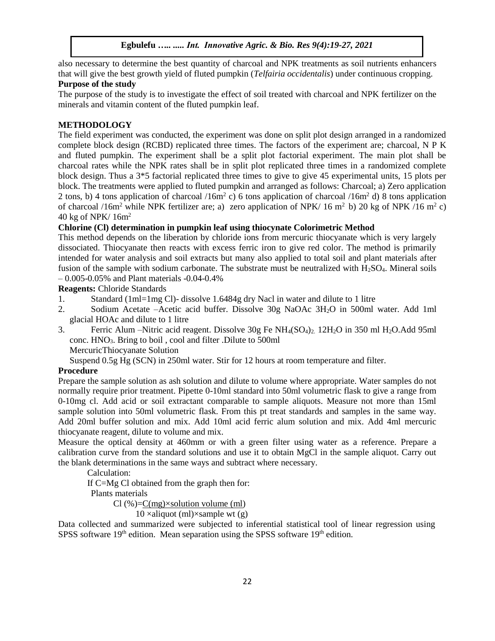also necessary to determine the best quantity of charcoal and NPK treatments as soil nutrients enhancers that will give the best growth yield of fluted pumpkin (*Telfairia occidentalis*) under continuous cropping.

# **Purpose of the study**

The purpose of the study is to investigate the effect of soil treated with charcoal and NPK fertilizer on the minerals and vitamin content of the fluted pumpkin leaf.

## **METHODOLOGY**

The field experiment was conducted, the experiment was done on split plot design arranged in a randomized complete block design (RCBD) replicated three times. The factors of the experiment are; charcoal, N P K and fluted pumpkin. The experiment shall be a split plot factorial experiment. The main plot shall be charcoal rates while the NPK rates shall be in split plot replicated three times in a randomized complete block design. Thus a 3\*5 factorial replicated three times to give to give 45 experimental units, 15 plots per block. The treatments were applied to fluted pumpkin and arranged as follows: Charcoal; a) Zero application 2 tons, b) 4 tons application of charcoal /16m<sup>2</sup> c) 6 tons application of charcoal /16m<sup>2</sup> d) 8 tons application of charcoal /16m<sup>2</sup> while NPK fertilizer are; a) zero application of NPK/ 16 m<sup>2</sup> b) 20 kg of NPK /16 m<sup>2</sup> c) 40 kg of NPK/ 16m<sup>2</sup>

# **Chlorine (Cl) determination in pumpkin leaf using thiocynate Colorimetric Method**

This method depends on the liberation by chloride ions from mercuric thiocyanate which is very largely dissociated. Thiocyanate then reacts with excess ferric iron to give red color. The method is primarily intended for water analysis and soil extracts but many also applied to total soil and plant materials after fusion of the sample with sodium carbonate. The substrate must be neutralized with  $H_2SO_4$ . Mineral soils – 0.005-0.05% and Plant materials -0.04-0.4%

**Reagents:** Chloride Standards

- 1. Standard (1ml=1mg Cl)- dissolve 1.6484g dry Nacl in water and dilute to 1 litre
- 2. Sodium Acetate –Acetic acid buffer. Dissolve 30g NaOAc 3H2O in 500ml water. Add 1ml glacial HOAc and dilute to 1 litre
- 3. Ferric Alum –Nitric acid reagent. Dissolve 30g Fe NH<sub>4</sub>(SO<sub>4</sub>)<sub>2</sub>. 12H<sub>2</sub>O in 350 ml H<sub>2</sub>O.Add 95ml conc. HNO3. Bring to boil , cool and filter .Dilute to 500ml
	- MercuricThiocyanate Solution
	- Suspend 0.5g Hg (SCN) in 250ml water. Stir for 12 hours at room temperature and filter.

### **Procedure**

Prepare the sample solution as ash solution and dilute to volume where appropriate. Water samples do not normally require prior treatment. Pipette 0-10ml standard into 50ml volumetric flask to give a range from 0-10mg cl. Add acid or soil extractant comparable to sample aliquots. Measure not more than 15ml sample solution into 50ml volumetric flask. From this pt treat standards and samples in the same way. Add 20ml buffer solution and mix. Add 10ml acid ferric alum solution and mix. Add 4ml mercuric thiocyanate reagent, dilute to volume and mix.

Measure the optical density at 460mm or with a green filter using water as a reference. Prepare a calibration curve from the standard solutions and use it to obtain MgCl in the sample aliquot. Carry out the blank determinations in the same ways and subtract where necessary.

Calculation:

If C=Mg Cl obtained from the graph then for:

Plants materials

 $Cl$  (%)= $C$ (mg) $\times$ solution volume (ml)

 $10 \times$ aliquot (ml) $\times$ sample wt (g)

Data collected and summarized were subjected to inferential statistical tool of linear regression using SPSS software  $19<sup>th</sup>$  edition. Mean separation using the SPSS software  $19<sup>th</sup>$  edition.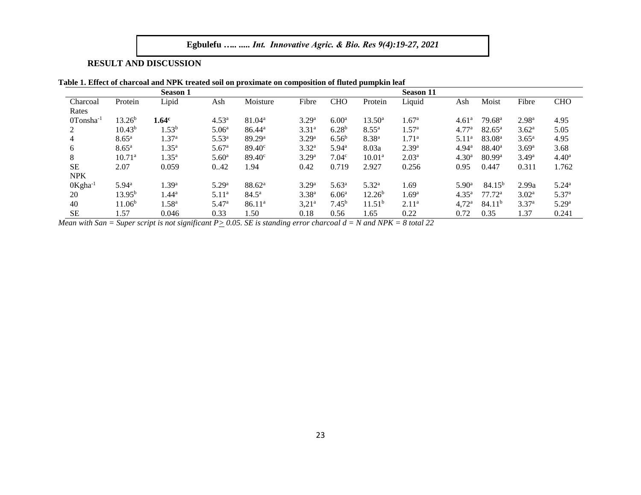# **RESULT AND DISCUSSION**

|                        |                    | <b>Season 1</b>   |                   |                    |                   |                   |                    | <b>Season 11</b>  |                   |                    |                   |                   |
|------------------------|--------------------|-------------------|-------------------|--------------------|-------------------|-------------------|--------------------|-------------------|-------------------|--------------------|-------------------|-------------------|
| Charcoal               | Protein            | Lipid             | Ash               | Moisture           | Fibre             | <b>CHO</b>        | Protein            | Liquid            | Ash               | Moist              | Fibre             | <b>CHO</b>        |
| Rates                  |                    |                   |                   |                    |                   |                   |                    |                   |                   |                    |                   |                   |
| 0Tonsha                | 13.26 <sup>b</sup> | 1.64 <sup>c</sup> | 4.53 <sup>a</sup> | 81.04 <sup>a</sup> | 3.29 <sup>a</sup> | 6.00 <sup>a</sup> | $13.50^{\rm a}$    | 1.67 <sup>a</sup> | 4.61 <sup>a</sup> | 79.68 <sup>a</sup> | 2.98 <sup>a</sup> | 4.95              |
|                        | $10.43^{b}$        | $0.53^{b}$        | 5.06 <sup>a</sup> | 86.44 <sup>a</sup> | 3.31 <sup>a</sup> | $6.28^{b}$        | $8.55^{\rm a}$     | $1.57^{\rm a}$    | 4.77 <sup>a</sup> | $82.65^{\circ}$    | $3.62^{\rm a}$    | 5.05              |
| 4                      | $8.65^{\rm a}$     | .37 <sup>a</sup>  | 5.53 <sup>a</sup> | 89.29a             | 3.29 <sup>a</sup> | $6.56^{b}$        | 8.38 <sup>a</sup>  | 1.71 <sup>a</sup> | 5.11 <sup>a</sup> | 83.08 <sup>a</sup> | $3.65^{\rm a}$    | 4.95              |
| 6                      | $8.65^{\rm a}$     | .35 <sup>a</sup>  | 5.67 <sup>a</sup> | $89.40^{\circ}$    | $3.32^{\rm a}$    | $5.94^{\rm a}$    | 8.03a              | 2.39 <sup>a</sup> | $4.94^{\rm a}$    | $88.40^{\circ}$    | 3.69 <sup>a</sup> | 3.68              |
| 8                      | 10.71 <sup>a</sup> | $1.35^{\rm a}$    | 5.60 <sup>a</sup> | $89.40^{\circ}$    | 3.29 <sup>a</sup> | 7.04 <sup>c</sup> | 10.01 <sup>a</sup> | 2.03 <sup>a</sup> | 4.30 <sup>a</sup> | 80.99a             | $3.49^{\rm a}$    | 4.40 <sup>a</sup> |
| $\rm SE$               | 2.07               | 0.059             | 042               | 1.94               | 0.42              | 0.719             | 2.927              | 0.256             | 0.95              | 0.447              | 0.311             | 1.762             |
| <b>NPK</b>             |                    |                   |                   |                    |                   |                   |                    |                   |                   |                    |                   |                   |
| $0$ Kgha <sup>-1</sup> | $5.94^{\rm a}$     | .39 <sup>a</sup>  | 5.29 <sup>a</sup> | 88.62 <sup>a</sup> | 3.29 <sup>a</sup> | $5.63^{\rm a}$    | $5.32^{\rm a}$     | 1.69              | $5.90^{\rm a}$    | 84.15 <sup>b</sup> | 2.99a             | $5.24^{\rm a}$    |
| 20                     | $13.95^{b}$        | .44 <sup>a</sup>  | 5.11 <sup>a</sup> | $84.5^{\rm a}$     | 3.38 <sup>a</sup> | 6.06 <sup>a</sup> | 12.26 <sup>b</sup> | 1.69 <sup>a</sup> | $4.35^{\rm a}$    | $77.72^{\rm a}$    | 3.02 <sup>a</sup> | 5.37 <sup>a</sup> |
| 40                     | 11.06 <sup>b</sup> | .58 <sup>a</sup>  | $5.47^{\rm a}$    | $86.11^{a}$        | $3,21^{\circ}$    | $7.45^{\rm b}$    | 11.51 <sup>b</sup> | 2.11 <sup>a</sup> | $4,72^{\rm a}$    | 84.11 <sup>b</sup> | 3.37 <sup>a</sup> | 5.29 <sup>a</sup> |
| <b>SE</b>              | 1.57               | 0.046             | 0.33              | . .50              | 0.18              | 0.56              | 1.65               | 0.22              | 0.72              | 0.35               | 1.37              | 0.241             |

*Mean with San = Super script is not significant P* $\geq$  0.05. *SE is standing error charcoal d = N and NPK = 8 total 22*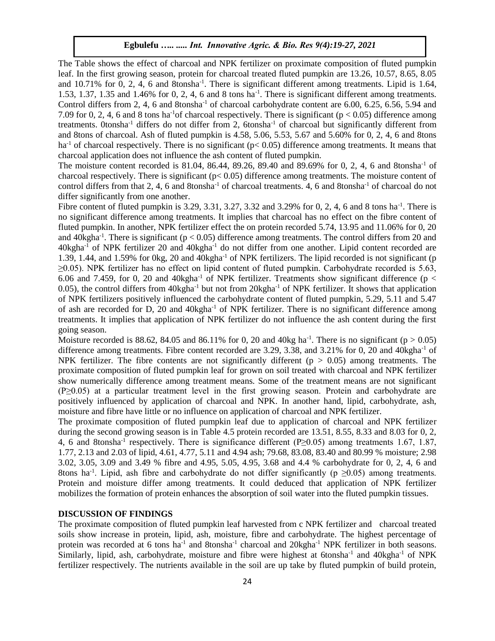The Table shows the effect of charcoal and NPK fertilizer on proximate composition of fluted pumpkin leaf. In the first growing season, protein for charcoal treated fluted pumpkin are 13.26, 10.57, 8.65, 8.05 and 10.71% for 0, 2, 4, 6 and 8tonsha<sup>-1</sup>. There is significant different among treatments. Lipid is 1.64, 1.53, 1.37, 1.35 and 1.46% for 0, 2, 4, 6 and 8 tons ha<sup>-1</sup>. There is significant different among treatments. Control differs from 2, 4, 6 and 8tonsha-1 of charcoal carbohydrate content are 6.00, 6.25, 6.56, 5.94 and 7.09 for 0, 2, 4, 6 and 8 tons ha<sup>-1</sup>of charcoal respectively. There is significant ( $p < 0.05$ ) difference among treatments. 0tonsha<sup>-1</sup> differs do not differ from 2, 6tonsha<sup>-1</sup> of charcoal but significantly different from and 8tons of charcoal. Ash of fluted pumpkin is 4.58, 5.06, 5.53, 5.67 and 5.60% for 0, 2, 4, 6 and 8tons ha<sup>-1</sup> of charcoal respectively. There is no significant ( $p < 0.05$ ) difference among treatments. It means that charcoal application does not influence the ash content of fluted pumpkin.

The moisture content recorded is 81.04, 86.44, 89.26, 89.40 and 89.69% for 0, 2, 4, 6 and 8tonsha-1 of charcoal respectively. There is significant (p< 0.05) difference among treatments. The moisture content of control differs from that 2, 4, 6 and 8tonsha-1 of charcoal treatments. 4, 6 and 8tonsha-1 of charcoal do not differ significantly from one another.

Fibre content of fluted pumpkin is 3.29, 3.31, 3.27, 3.32 and 3.29% for 0, 2, 4, 6 and 8 tons ha<sup>-1</sup>. There is no significant difference among treatments. It implies that charcoal has no effect on the fibre content of fluted pumpkin. In another, NPK fertilizer effect the on protein recorded 5.74, 13.95 and 11.06% for 0, 20 and  $40$ kgha<sup>-1</sup>. There is significant ( $p < 0.05$ ) difference among treatments. The control differs from 20 and  $40$ kgha<sup>-1</sup> of NPK fertilizer 20 and  $40$ kgha<sup>-1</sup> do not differ from one another. Lipid content recorded are 1.39, 1.44, and 1.59% for 0kg, 20 and 40kgha<sup>-1</sup> of NPK fertilizers. The lipid recorded is not significant (p  $\geq$ 0.05). NPK fertilizer has no effect on lipid content of fluted pumpkin. Carbohydrate recorded is 5.63, 6.06 and 7.459, for 0, 20 and 40kgha<sup>-1</sup> of NPK fertilizer. Treatments show significant difference ( $p <$ 0.05), the control differs from  $40$ kgha<sup>-1</sup> but not from  $20$ kgha<sup>-1</sup> of NPK fertilizer. It shows that application of NPK fertilizers positively influenced the carbohydrate content of fluted pumpkin, 5.29, 5.11 and 5.47 of ash are recorded for D, 20 and 40kgha-1 of NPK fertilizer. There is no significant difference among treatments. It implies that application of NPK fertilizer do not influence the ash content during the first going season.

Moisture recorded is 88.62, 84.05 and 86.11% for 0, 20 and 40kg ha<sup>-1</sup>. There is no significant ( $p > 0.05$ ) difference among treatments. Fibre content recorded are 3.29, 3.38, and 3.21% for 0, 20 and 40kgha<sup>-1</sup> of NPK fertilizer. The fibre contents are not significantly different ( $p > 0.05$ ) among treatments. The proximate composition of fluted pumpkin leaf for grown on soil treated with charcoal and NPK fertilizer show numerically difference among treatment means. Some of the treatment means are not significant (P≥0.05) at a particular treatment level in the first growing season. Protein and carbohydrate are positively influenced by application of charcoal and NPK. In another hand, lipid, carbohydrate, ash, moisture and fibre have little or no influence on application of charcoal and NPK fertilizer.

The proximate composition of fluted pumpkin leaf due to application of charcoal and NPK fertilizer during the second growing season is in Table 4.5 protein recorded are 13.51, 8.55, 8.33 and 8.03 for 0, 2, 4, 6 and 8tonsha<sup>-1</sup> respectively. There is significance different (P≥0.05) among treatments 1.67, 1.87, 1.77, 2.13 and 2.03 of lipid, 4.61, 4.77, 5.11 and 4.94 ash; 79.68, 83.08, 83.40 and 80.99 % moisture; 2.98 3.02, 3.05, 3.09 and 3.49 % fibre and 4.95, 5.05, 4.95, 3.68 and 4.4 % carbohydrate for 0, 2, 4, 6 and 8tons ha<sup>-1</sup>. Lipid, ash fibre and carbohydrate do not differ significantly ( $p \ge 0.05$ ) among treatments. Protein and moisture differ among treatments. It could deduced that application of NPK fertilizer mobilizes the formation of protein enhances the absorption of soil water into the fluted pumpkin tissues.

### **DISCUSSION OF FINDINGS**

The proximate composition of fluted pumpkin leaf harvested from c NPK fertilizer and charcoal treated soils show increase in protein, lipid, ash, moisture, fibre and carbohydrate. The highest percentage of protein was recorded at 6 tons ha<sup>-1</sup> and 8tonsha<sup>-1</sup> charcoal and 20kgha<sup>-1</sup> NPK fertilizer in both seasons. Similarly, lipid, ash, carbohydrate, moisture and fibre were highest at 6tonsha<sup>-1</sup> and 40kgha<sup>-1</sup> of NPK fertilizer respectively. The nutrients available in the soil are up take by fluted pumpkin of build protein,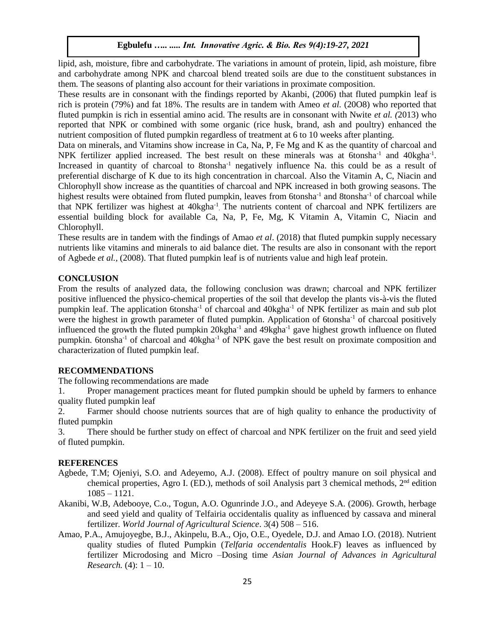lipid, ash, moisture, fibre and carbohydrate. The variations in amount of protein, lipid, ash moisture, fibre and carbohydrate among NPK and charcoal blend treated soils are due to the constituent substances in them. The seasons of planting also account for their variations in proximate composition.

These results are in consonant with the findings reported by Akanbi, (2006) that fluted pumpkin leaf is rich is protein (79%) and fat 18%. The results are in tandem with Ameo *et al.* (20O8) who reported that fluted pumpkin is rich in essential amino acid. The results are in consonant with Nwite *et al. (*2013) who reported that NPK or combined with some organic (rice husk, brand, ash and poultry) enhanced the nutrient composition of fluted pumpkin regardless of treatment at 6 to 10 weeks after planting.

Data on minerals, and Vitamins show increase in Ca, Na, P, Fe Mg and K as the quantity of charcoal and NPK fertilizer applied increased. The best result on these minerals was at 6tonsha<sup>-1</sup> and 40kgha<sup>-1</sup>. Increased in quantity of charcoal to 8tonsha<sup>-1</sup> negatively influence Na. this could be as a result of preferential discharge of K due to its high concentration in charcoal. Also the Vitamin A, C, Niacin and Chlorophyll show increase as the quantities of charcoal and NPK increased in both growing seasons. The highest results were obtained from fluted pumpkin, leaves from 6tonsha<sup>-1</sup> and 8tonsha<sup>-1</sup> of charcoal while that NPK fertilizer was highest at 40kgha<sup>-1</sup>. The nutrients content of charcoal and NPK fertilizers are essential building block for available Ca, Na, P, Fe, Mg, K Vitamin A, Vitamin C, Niacin and Chlorophyll.

These results are in tandem with the findings of Amao *et al*. (2018) that fluted pumpkin supply necessary nutrients like vitamins and minerals to aid balance diet. The results are also in consonant with the report of Agbede *et al.,* (2008). That fluted pumpkin leaf is of nutrients value and high leaf protein.

# **CONCLUSION**

From the results of analyzed data, the following conclusion was drawn; charcoal and NPK fertilizer positive influenced the physico-chemical properties of the soil that develop the plants vis-à-vis the fluted pumpkin leaf. The application 6tonsha-1 of charcoal and 40kgha-1 of NPK fertilizer as main and sub plot were the highest in growth parameter of fluted pumpkin. Application of 6tonsha<sup>-1</sup> of charcoal positively influenced the growth the fluted pumpkin  $20$ kgha<sup>-1</sup> and  $49$ kgha<sup>-1</sup> gave highest growth influence on fluted pumpkin. 6tonsha<sup>-1</sup> of charcoal and 40kgha<sup>-1</sup> of NPK gave the best result on proximate composition and characterization of fluted pumpkin leaf.

## **RECOMMENDATIONS**

The following recommendations are made

1. Proper management practices meant for fluted pumpkin should be upheld by farmers to enhance quality fluted pumpkin leaf

2. Farmer should choose nutrients sources that are of high quality to enhance the productivity of fluted pumpkin

3. There should be further study on effect of charcoal and NPK fertilizer on the fruit and seed yield of fluted pumpkin.

#### **REFERENCES**

- Agbede, T.M; Ojeniyi, S.O. and Adeyemo, A.J. (2008). Effect of poultry manure on soil physical and chemical properties, Agro I. (ED.), methods of soil Analysis part 3 chemical methods,  $2<sup>nd</sup>$  edition 1085 – 1121.
- Akanibi, W.B, Adebooye, C.o., Togun, A.O. Ogunrinde J.O., and Adeyeye S.A. (2006). Growth, herbage and seed yield and quality of Telfairia occidentalis quality as influenced by cassava and mineral fertilizer. *World Journal of Agricultural Science*. 3(4) 508 – 516.
- Amao, P.A., Amujoyegbe, B.J., Akinpelu, B.A., Ojo, O.E., Oyedele, D.J. and Amao I.O. (2018). Nutrient quality studies of fluted Pumpkin (*Telfaria occendentalis* Hook.F) leaves as influenced by fertilizer Microdosing and Micro –Dosing time *Asian Journal of Advances in Agricultural Research.* (4): 1 – 10.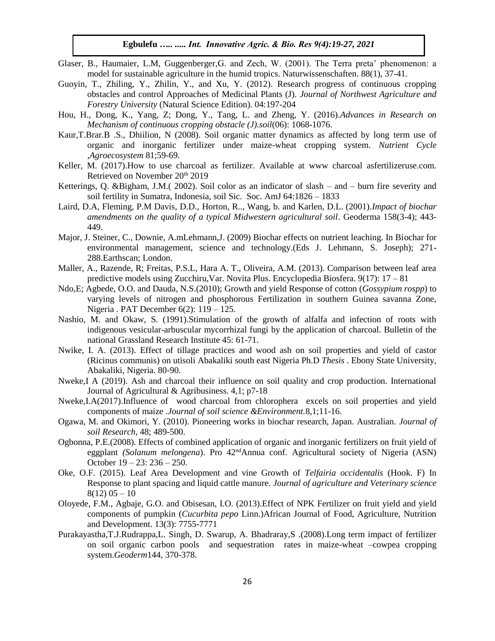- Glaser, B., Haumaier, L.M, Guggenberger,G. and Zech, W. (2001). The Terra preta' phenomenon: a model for sustainable agriculture in the humid tropics. Naturwissenschaften. 88(1), 37-41.
- Guoyin, T., Zhiling, Y., Zhilin, Y., and Xu, Y. (2012). Research progress of continuous cropping obstacles and control Approaches of Medicinal Plants (J). *Journal of Northwest Agriculture and Forestry University* (Natural Science Edition). 04:197-204
- Hou, H., Dong, K., Yang, Z; Dong, Y., Tang, L. and Zheng, Y. (2016).*Advances in Research on Mechanism of continuous cropping obstacle (J).soil*(06): 1068-1076.
- Kaur,T.Brar.B .S., Dhiilion, N (2008). Soil organic matter dynamics as affected by long term use of organic and inorganic fertilizer under maize-wheat cropping system. *Nutrient Cycle ,Agroecosystem* 81;59-69.
- Keller, M. (2017).How to use charcoal as fertilizer. Available at www charcoal asfertilizeruse.com. Retrieved on November 20<sup>th</sup> 2019
- Ketterings, Q. &Bigham, J.M.( 2002). Soil color as an indicator of slash and burn fire severity and soil fertility in Sumatra, Indonesia, soil Sic. Soc. AmJ 64:1826 – 1833
- Laird, D.A, Fleming, P.M Davis, D.D., Horton, R.., Wang, b. and Karlen, D.L. (2001).*Impact of biochar amendments on the quality of a typical Midwestern agricultural soil*. Geoderma 158(3-4); 443- 449.
- Major, J. Steiner, C., Downie, A.mLehmann,J. (2009) Biochar effects on nutrient leaching. In Biochar for environmental management, science and technology.(Eds J. Lehmann, S. Joseph); 271- 288.Earthscan; London.
- Maller, A., Razende, R; Freitas, P.S.L, Hara A. T., Oliveira, A.M. (2013). Comparison between leaf area predictive models using Zucchiru,Var. Novita Plus. Encyclopedia Biosfera. 9(17): 17 – 81
- Ndo,E; Agbede, O.O. and Dauda, N.S.(2010); Growth and yield Response of cotton (*Gossypium rospp*) to varying levels of nitrogen and phosphorous Fertilization in southern Guinea savanna Zone, Nigeria . PAT December 6(2): 119 – 125.
- Nashio, M. and Okaw, S. (1991).Stimulation of the growth of alfalfa and infection of roots with indigenous vesicular-arbuscular mycorrhizal fungi by the application of charcoal. Bulletin of the national Grassland Research Institute 45: 61-71.
- Nwike, I. A. (2013). Effect of tillage practices and wood ash on soil properties and yield of castor (Ricinus communis) on utisoli Abakaliki south east Nigeria Ph.D *Thesis* . Ebony State University, Abakaliki, Nigeria. 80-90.
- Nweke,I A (2019). Ash and charcoal their influence on soil quality and crop production. International Journal of Agricultural & Agribusiness. 4,1; p7-18
- Nweke,I.A(2017).Influence of wood charcoal from chlorophera excels on soil properties and yield components of maize .*Journal of soil science &Environment.*8,1;11-16.
- Ogawa, M. and Okimori, Y. (2010). Pioneering works in biochar research, Japan. Australian. *Journal of soil Research*, 48; 489-500.
- Ogbonna, P.E.(2008). Effects of combined application of organic and inorganic fertilizers on fruit yield of eggplant *(Solanum melongena*). Pro 42ndAnnua conf. Agricultural society of Nigeria (ASN) October 19 – 23: 236 – 250.
- Oke, O.F. (2015). Leaf Area Development and vine Growth of *Telfairia occidentalis* (Hook. F) In Response to plant spacing and liquid cattle manure. *Journal of agriculture and Veterinary science*  $8(12)$  05 – 10
- Oloyede, F.M., Agbaje, G.O. and Obisesan, I.O. (2013).Effect of NPK Fertilizer on fruit yield and yield components of pumpkin (*Cucurbita pepo* Linn.)African Journal of Food, Agriculture, Nutrition and Development. 13(3): 7755-7771
- Purakayastha,T.J.Rudrappa,L. Singh, D. Swarup, A. Bhadraray,S .(2008).Long term impact of fertilizer on soil organic carbon pools and sequestration rates in maize-wheat –cowpea cropping system.*Geoderm*144, 370-378.